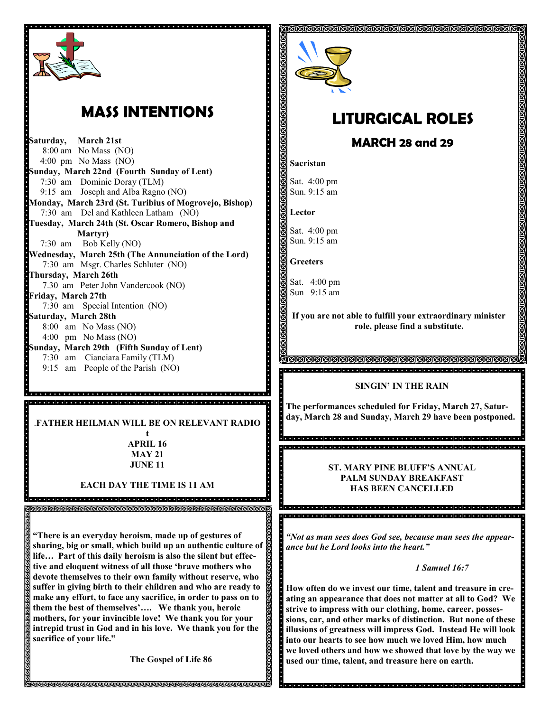

## **MASS INTENTIONS**

**Saturday, March 21st**  8:00 am No Mass (NO) 4:00 pm No Mass (NO) **Sunday, March 22nd (Fourth Sunday of Lent)** 7:30 am Dominic Doray (TLM) 9:15 am Joseph and Alba Ragno (NO) **Monday, March 23rd (St. Turibius of Mogrovejo, Bishop)** 7:30 am Del and Kathleen Latham (NO) **Tuesday, March 24th (St. Oscar Romero, Bishop and Martyr)** 7:30 am Bob Kelly (NO) **Wednesday, March 25th (The Annunciation of the Lord)** 7:30 am Msgr. Charles Schluter (NO) **Thursday, March 26th** 7.30 am Peter John Vandercook (NO) **Friday, March 27th** 7:30 am Special Intention (NO) **Saturday, March 28th** 8:00 am No Mass (NO) 4:00 pm No Mass (NO) **Sunday, March 29th (Fifth Sunday of Lent)** 7:30 am Cianciara Family (TLM) 9:15 am People of the Parish (NO)

.**FATHER HEILMAN WILL BE ON RELEVANT RADIO**

.<br>Algiolata i dialata i dialata i dialata i dialata dialata i dialata dialata i dialata dialata dialata dialata d .<br>Intela de la ciencia de la ciencia de la ciencia de la ciencia de la ciencia de la ciencia de la ciencia de la

> **t APRIL 16 MAY 21 JUNE 11**

**EACH DAY THE TIME IS 11 AM**

di alcuni di alcuni di alcuni di alcuni di alcuni di alcuni di alcuni di alcuni di alcuni di alcuni di alcuni d

**"There is an everyday heroism, made up of gestures of sharing, big or small, which build up an authentic culture of life… Part of this daily heroism is also the silent but effective and eloquent witness of all those 'brave mothers who devote themselves to their own family without reserve, who suffer in giving birth to their children and who are ready to make any effort, to face any sacrifice, in order to pass on to them the best of themselves'…. We thank you, heroic mothers, for your invincible love! We thank you for your intrepid trust in God and in his love. We thank you for the sacrifice of your life."** 

**The Gospel of Life 86**



## **LITURGICAL ROLES**

**MARCH 28 and 29**

**Sacristan**

Sat. 4:00 pm Sun. 9:15 am

**Lector**

Sat. 4:00 pm Sun. 9:15 am

**Greeters**

i<br>I<br>I<br>I<br>I

Sat. 4:00 pm Sun 9:15 am

**If you are not able to fulfill your extraordinary minister role, please find a substitute.** 

**SINGIN' IN THE RAIN**

**The performances scheduled for Friday, March 27, Saturday, March 28 and Sunday, March 29 have been postponed.**

s<br>Sacra a article de la ciencia de la ciencia de la ciencia de la ciencia de la ciencia de la ciencia de la cie 

**ST. MARY PINE BLUFF'S ANNUAL PALM SUNDAY BREAKFAST HAS BEEN CANCELLED**

*"Not as man sees does God see, because man sees the appearance but he Lord looks into the heart."*

*1 Samuel 16:7*

**How often do we invest our time, talent and treasure in creating an appearance that does not matter at all to God? We strive to impress with our clothing, home, career, possessions, car, and other marks of distinction. But none of these illusions of greatness will impress God. Instead He will look into our hearts to see how much we loved Him, how much we loved others and how we showed that love by the way we used our time, talent, and treasure here on earth.**